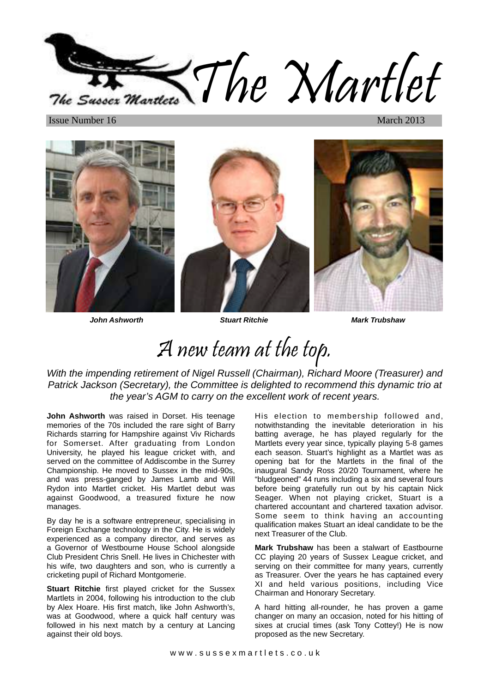The Martlet The Sussex Martley

**Issue Number 16** 



**John Ashworth Stuart Ritchie Mark Trubshaw**

# A new team at the top.

With the impending retirement of Nigel Russell (Chairman), Richard Moore (Treasurer) and Patrick Jackson (Secretary), the Committee is delighted to recommend this dynamic trio at the year's AGM to carry on the excellent work of recent years.

**John Ashworth** was raised in Dorset. His teenage memories of the 70s included the rare sight of Barry Richards starring for Hampshire against Viv Richards for Somerset. After graduating from London University, he played his league cricket with, and served on the committee of Addiscombe in the Surrey Championship. He moved to Sussex in the mid-90s, and was press-ganged by James Lamb and Will Rydon into Martlet cricket. His Martlet debut was against Goodwood, a treasured fixture he now manages.

By day he is a software entrepreneur, specialising in Foreign Exchange technology in the City. He is widely experienced as a company director, and serves as a Governor of Westbourne House School alongside Club President Chris Snell. He lives in Chichester with his wife, two daughters and son, who is currently a cricketing pupil of Richard Montgomerie.

**Stuart Ritchie** first played cricket for the Sussex Martlets in 2004, following his introduction to the club by Alex Hoare. His first match, like John Ashworth's, was at Goodwood, where a quick half century was followed in his next match by a century at Lancing against their old boys.

His election to membership followed and, notwithstanding the inevitable deterioration in his batting average, he has played regularly for the Martlets every year since, typically playing 5-8 games each season. Stuart's highlight as a Martlet was as opening bat for the Martlets in the final of the inaugural Sandy Ross 20/20 Tournament, where he "bludgeoned" 44 runs including a six and several fours before being gratefully run out by his captain Nick Seager. When not playing cricket, Stuart is a chartered accountant and chartered taxation advisor. Some seem to think having an accounting qualification makes Stuart an ideal candidate to be the next Treasurer of the Club.

**Mark Trubshaw** has been a stalwart of Eastbourne CC playing 20 years of Sussex League cricket, and serving on their committee for many years, currently as Treasurer. Over the years he has captained every XI and held various positions, including Vice Chairman and Honorary Secretary.

A hard hitting all-rounder, he has proven a game changer on many an occasion, noted for his hitting of sixes at crucial times (ask Tony Cottey!) He is now proposed as the new Secretary.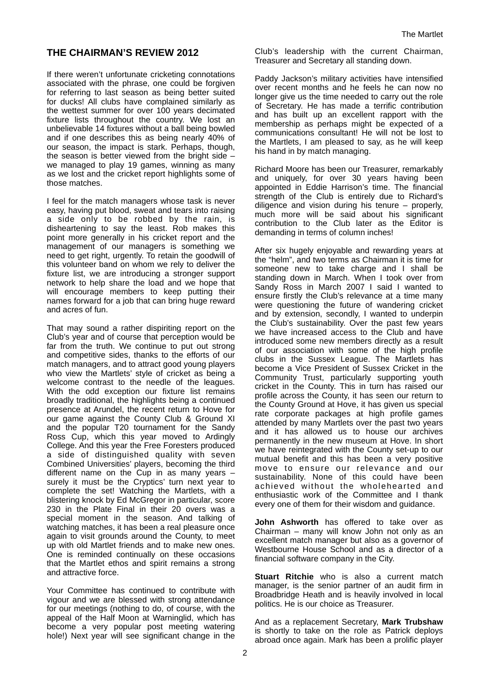# **THE CHAIRMAN'S REVIEW 2012**

If there weren't unfortunate cricketing connotations associated with the phrase, one could be forgiven for referring to last season as being better suited for ducks! All clubs have complained similarly as the wettest summer for over 100 years decimated fixture lists throughout the country. We lost an unbelievable 14 fixtures without a ball being bowled and if one describes this as being nearly 40% of our season, the impact is stark. Perhaps, though, the season is better viewed from the bright side – we managed to play 19 games, winning as many as we lost and the cricket report highlights some of those matches.

I feel for the match managers whose task is never easy, having put blood, sweat and tears into raising a side only to be robbed by the rain, is disheartening to say the least. Rob makes this point more generally in his cricket report and the management of our managers is something we need to get right, urgently. To retain the goodwill of this volunteer band on whom we rely to deliver the fixture list, we are introducing a stronger support network to help share the load and we hope that will encourage members to keep putting their names forward for a job that can bring huge reward and acres of fun.

That may sound a rather dispiriting report on the Club's year and of course that perception would be far from the truth. We continue to put out strong and competitive sides, thanks to the efforts of our match managers, and to attract good young players who view the Martlets' style of cricket as being a welcome contrast to the needle of the leagues. With the odd exception our fixture list remains broadly traditional, the highlights being a continued presence at Arundel, the recent return to Hove for our game against the County Club & Ground XI and the popular T20 tournament for the Sandy Ross Cup, which this year moved to Ardingly College. And this year the Free Foresters produced a side of distinguished quality with seven Combined Universities' players, becoming the third different name on the Cup in as many years – surely it must be the Cryptics' turn next year to complete the set! Watching the Martlets, with a blistering knock by Ed McGregor in particular, score 230 in the Plate Final in their 20 overs was a special moment in the season. And talking of watching matches, it has been a real pleasure once again to visit grounds around the County, to meet up with old Martlet friends and to make new ones. One is reminded continually on these occasions that the Martlet ethos and spirit remains a strong and attractive force.

Your Committee has continued to contribute with vigour and we are blessed with strong attendance for our meetings (nothing to do, of course, with the appeal of the Half Moon at Warninglid, which has become a very popular post meeting watering hole!) Next year will see significant change in the

Club's leadership with the current Chairman, Treasurer and Secretary all standing down.

Paddy Jackson's military activities have intensified over recent months and he feels he can now no longer give us the time needed to carry out the role of Secretary. He has made a terrific contribution and has built up an excellent rapport with the membership as perhaps might be expected of a communications consultant! He will not be lost to the Martlets, I am pleased to say, as he will keep his hand in by match managing.

Richard Moore has been our Treasurer, remarkably and uniquely, for over 30 years having been appointed in Eddie Harrison's time. The financial strength of the Club is entirely due to Richard's diligence and vision during his tenure – properly, much more will be said about his significant contribution to the Club later as the Editor is demanding in terms of column inches!

After six hugely enjoyable and rewarding years at the "helm", and two terms as Chairman it is time for someone new to take charge and I shall be standing down in March. When I took over from Sandy Ross in March 2007 I said I wanted to ensure firstly the Club's relevance at a time many were questioning the future of wandering cricket and by extension, secondly, I wanted to underpin the Club's sustainability. Over the past few years we have increased access to the Club and have introduced some new members directly as a result of our association with some of the high profile clubs in the Sussex League. The Martlets has become a Vice President of Sussex Cricket in the Community Trust, particularly supporting youth cricket in the County. This in turn has raised our profile across the County, it has seen our return to the County Ground at Hove, it has given us special rate corporate packages at high profile games attended by many Martlets over the past two years and it has allowed us to house our archives permanently in the new museum at Hove. In short we have reintegrated with the County set-up to our mutual benefit and this has been a very positive move to ensure our relevance and our sustainability. None of this could have been achieved without the wholehearted and enthusiastic work of the Committee and I thank every one of them for their wisdom and guidance.

**John Ashworth** has offered to take over as Chairman – many will know John not only as an excellent match manager but also as a governor of Westbourne House School and as a director of a financial software company in the City.

**Stuart Ritchie** who is also a current match manager, is the senior partner of an audit firm in Broadbridge Heath and is heavily involved in local politics. He is our choice as Treasurer.

And as a replacement Secretary, **Mark Trubshaw** is shortly to take on the role as Patrick deploys abroad once again. Mark has been a prolific player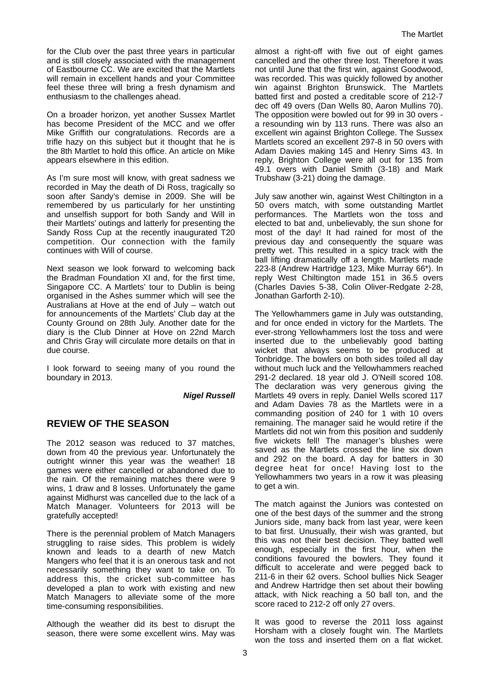for the Club over the past three years in particular and is still closely associated with the management of Eastbourne CC. We are excited that the Martlets will remain in excellent hands and your Committee feel these three will bring a fresh dynamism and enthusiasm to the challenges ahead.

On a broader horizon, yet another Sussex Martlet has become President of the MCC and we offer Mike Griffith our congratulations. Records are a trifle hazy on this subject but it thought that he is the 8th Martlet to hold this office. An article on Mike appears elsewhere in this edition.

As I'm sure most will know, with great sadness we recorded in May the death of Di Ross, tragically so soon after Sandy's demise in 2009. She will be remembered by us particularly for her unstinting and unselfish support for both Sandy and Will in their Martlets' outings and latterly for presenting the Sandy Ross Cup at the recently inaugurated T20 competition. Our connection with the family continues with Will of course.

Next season we look forward to welcoming back the Bradman Foundation XI and, for the first time, Singapore CC. A Martlets' tour to Dublin is being organised in the Ashes summer which will see the Australians at Hove at the end of July – watch out for announcements of the Martlets' Club day at the County Ground on 28th July. Another date for the diary is the Club Dinner at Hove on 22nd March and Chris Gray will circulate more details on that in due course.

I look forward to seeing many of you round the boundary in 2013.

**Nigel Russell**

#### **REVIEW OF THE SEASON**

The 2012 season was reduced to 37 matches, down from 40 the previous year. Unfortunately the outright winner this year was the weather! 18 games were either cancelled or abandoned due to the rain. Of the remaining matches there were 9 wins, 1 draw and 8 losses. Unfortunately the game against Midhurst was cancelled due to the lack of a Match Manager. Volunteers for 2013 will be gratefully accepted!

There is the perennial problem of Match Managers struggling to raise sides. This problem is widely known and leads to a dearth of new Match Mangers who feel that it is an onerous task and not necessarily something they want to take on. To address this, the cricket sub-committee has developed a plan to work with existing and new Match Managers to alleviate some of the more time-consuming responsibilities.

Although the weather did its best to disrupt the season, there were some excellent wins. May was almost a right-off with five out of eight games cancelled and the other three lost. Therefore it was not until June that the first win, against Goodwood, was recorded. This was quickly followed by another win against Brighton Brunswick. The Martlets batted first and posted a creditable score of 212-7 dec off 49 overs (Dan Wells 80, Aaron Mullins 70). The opposition were bowled out for 99 in 30 overs a resounding win by 113 runs. There was also an excellent win against Brighton College. The Sussex Martlets scored an excellent 297-8 in 50 overs with Adam Davies making 145 and Henry Sims 43. In reply, Brighton College were all out for 135 from 49.1 overs with Daniel Smith (3-18) and Mark Trubshaw (3-21) doing the damage.

July saw another win, against West Chiltington in a 50 overs match, with some outstanding Martlet performances. The Martlets won the toss and elected to bat and, unbelievably, the sun shone for most of the day! It had rained for most of the previous day and consequently the square was pretty wet. This resulted in a spicy track with the ball lifting dramatically off a length. Martlets made 223-8 (Andrew Hartridge 123, Mike Murray 66\*). In reply West Chiltington made 151 in 36.5 overs (Charles Davies 5-38, Colin Oliver-Redgate 2-28, Jonathan Garforth 2-10).

The Yellowhammers game in July was outstanding, and for once ended in victory for the Martlets. The ever-strong Yellowhammers lost the toss and were inserted due to the unbelievably good batting wicket that always seems to be produced at Tonbridge. The bowlers on both sides toiled all day without much luck and the Yellowhammers reached 291-2 declared. 18 year old J. O'Neill scored 108. The declaration was very generous giving the Martlets 49 overs in reply. Daniel Wells scored 117 and Adam Davies 78 as the Martlets were in a commanding position of 240 for 1 with 10 overs remaining. The manager said he would retire if the Martlets did not win from this position and suddenly five wickets fell! The manager's blushes were saved as the Martlets crossed the line six down and 292 on the board. A day for batters in 30 degree heat for once! Having lost to the Yellowhammers two years in a row it was pleasing to get a win.

The match against the Juniors was contested on one of the best days of the summer and the strong Juniors side, many back from last year, were keen to bat first. Unusually, their wish was granted, but this was not their best decision. They batted well enough, especially in the first hour, when the conditions favoured the bowlers. They found it difficult to accelerate and were pegged back to 211-6 in their 62 overs. School bullies Nick Seager and Andrew Hartridge then set about their bowling attack, with Nick reaching a 50 ball ton, and the score raced to 212-2 off only 27 overs.

It was good to reverse the 2011 loss against Horsham with a closely fought win. The Martlets won the toss and inserted them on a flat wicket.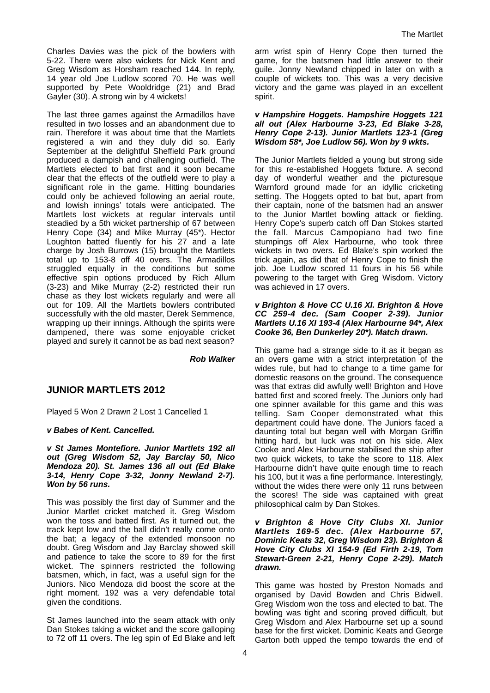Charles Davies was the pick of the bowlers with 5-22. There were also wickets for Nick Kent and Greg Wisdom as Horsham reached 144. In reply, 14 year old Joe Ludlow scored 70. He was well supported by Pete Wooldridge (21) and Brad Gayler (30). A strong win by 4 wickets!

The last three games against the Armadillos have resulted in two losses and an abandonment due to rain. Therefore it was about time that the Martlets registered a win and they duly did so. Early September at the delightful Sheffield Park ground produced a dampish and challenging outfield. The Martlets elected to bat first and it soon became clear that the effects of the outfield were to play a significant role in the game. Hitting boundaries could only be achieved following an aerial route, and lowish innings' totals were anticipated. The Martlets lost wickets at regular intervals until steadied by a 5th wicket partnership of 67 between Henry Cope (34) and Mike Murray (45\*). Hector Loughton batted fluently for his 27 and a late charge by Josh Burrows (15) brought the Martlets total up to 153-8 off 40 overs. The Armadillos struggled equally in the conditions but some effective spin options produced by Rich Allum (3-23) and Mike Murray (2-2) restricted their run chase as they lost wickets regularly and were all out for 109. All the Martlets bowlers contributed successfully with the old master, Derek Semmence, wrapping up their innings. Although the spirits were dampened, there was some enjoyable cricket played and surely it cannot be as bad next season?

**Rob Walker**

#### **JUNIOR MARTLETS 2012**

Played 5 Won 2 Drawn 2 Lost 1 Cancelled 1

#### **v Babes of Kent. Cancelled.**

**v St James Montefiore. Junior Martlets 192 all out (Greg Wisdom 52, Jay Barclay 50, Nico Mendoza 20). St. James 136 all out (Ed Blake 3-14, Henry Cope 3-32, Jonny Newland 2-7). Won by 56 runs.** 

This was possibly the first day of Summer and the Junior Martlet cricket matched it. Greg Wisdom won the toss and batted first. As it turned out, the track kept low and the ball didn't really come onto the bat; a legacy of the extended monsoon no doubt. Greg Wisdom and Jay Barclay showed skill and patience to take the score to 89 for the first wicket. The spinners restricted the following batsmen, which, in fact, was a useful sign for the Juniors. Nico Mendoza did boost the score at the right moment. 192 was a very defendable total given the conditions.

St James launched into the seam attack with only Dan Stokes taking a wicket and the score galloping to 72 off 11 overs. The leg spin of Ed Blake and left arm wrist spin of Henry Cope then turned the game, for the batsmen had little answer to their guile. Jonny Newland chipped in later on with a couple of wickets too. This was a very decisive victory and the game was played in an excellent spirit.

#### **v Hampshire Hoggets. Hampshire Hoggets 121 all out (Alex Harbourne 3-23, Ed Blake 3-28, Henry Cope 2-13). Junior Martlets 123-1 (Greg Wisdom 58\*, Joe Ludlow 56). Won by 9 wkts.**

The Junior Martlets fielded a young but strong side for this re-established Hoggets fixture. A second day of wonderful weather and the picturesque Warnford ground made for an idyllic cricketing setting. The Hoggets opted to bat but, apart from their captain, none of the batsmen had an answer to the Junior Martlet bowling attack or fielding. Henry Cope's superb catch off Dan Stokes started the fall. Marcus Campopiano had two fine stumpings off Alex Harbourne, who took three wickets in two overs. Ed Blake's spin worked the trick again, as did that of Henry Cope to finish the job. Joe Ludlow scored 11 fours in his 56 while powering to the target with Greg Wisdom. Victory was achieved in 17 overs.

#### **v Brighton & Hove CC U.16 XI. Brighton & Hove CC 259-4 dec. (Sam Cooper 2-39). Junior Martlets U.16 XI 193-4 (Alex Harbourne 94\*, Alex Cooke 36, Ben Dunkerley 20\*). Match drawn.**

This game had a strange side to it as it began as an overs game with a strict interpretation of the wides rule, but had to change to a time game for domestic reasons on the ground. The consequence was that extras did awfully well! Brighton and Hove batted first and scored freely. The Juniors only had one spinner available for this game and this was telling. Sam Cooper demonstrated what this department could have done. The Juniors faced a daunting total but began well with Morgan Griffin hitting hard, but luck was not on his side. Alex Cooke and Alex Harbourne stabilised the ship after two quick wickets, to take the score to 118. Alex Harbourne didn't have quite enough time to reach his 100, but it was a fine performance. Interestingly, without the wides there were only 11 runs between the scores! The side was captained with great philosophical calm by Dan Stokes.

#### **v Brighton & Hove City Clubs XI. Junior Martlets 169-5 dec. (Alex Harbourne 57, Dominic Keats 32, Greg Wisdom 23). Brighton & Hove City Clubs XI 154-9 (Ed Firth 2-19, Tom Stewart-Green 2-21, Henry Cope 2-29). Match drawn.**

This game was hosted by Preston Nomads and organised by David Bowden and Chris Bidwell. Greg Wisdom won the toss and elected to bat. The bowling was tight and scoring proved difficult, but Greg Wisdom and Alex Harbourne set up a sound base for the first wicket. Dominic Keats and George Garton both upped the tempo towards the end of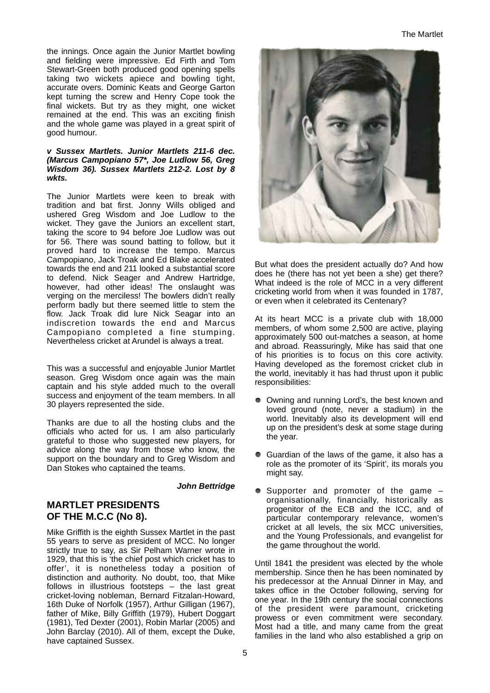the innings. Once again the Junior Martlet bowling and fielding were impressive. Ed Firth and Tom Stewart-Green both produced good opening spells taking two wickets apiece and bowling tight, accurate overs. Dominic Keats and George Garton kept turning the screw and Henry Cope took the final wickets. But try as they might, one wicket remained at the end. This was an exciting finish and the whole game was played in a great spirit of good humour.

#### **v Sussex Martlets. Junior Martlets 211-6 dec. (Marcus Campopiano 57\*, Joe Ludlow 56, Greg Wisdom 36). Sussex Martlets 212-2. Lost by 8 wkts.**

The Junior Martlets were keen to break with tradition and bat first. Jonny Wills obliged and ushered Greg Wisdom and Joe Ludlow to the wicket. They gave the Juniors an excellent start, taking the score to 94 before Joe Ludlow was out for 56. There was sound batting to follow, but it proved hard to increase the tempo. Marcus Campopiano, Jack Troak and Ed Blake accelerated towards the end and 211 looked a substantial score to defend. Nick Seager and Andrew Hartridge, however, had other ideas! The onslaught was verging on the merciless! The bowlers didn't really perform badly but there seemed little to stem the flow. Jack Troak did lure Nick Seagar into an indiscretion towards the end and Marcus Campopiano completed a fine stumping. Nevertheless cricket at Arundel is always a treat.

This was a successful and enjoyable Junior Martlet season. Greg Wisdom once again was the main captain and his style added much to the overall success and enjoyment of the team members. In all 30 players represented the side.

Thanks are due to all the hosting clubs and the officials who acted for us. I am also particularly grateful to those who suggested new players, for advice along the way from those who know, the support on the boundary and to Greg Wisdom and Dan Stokes who captained the teams.

#### **John Bettridge**

## **MARTLET PRESIDENTS OF THE M.C.C (No 8).**

Mike Griffith is the eighth Sussex Martlet in the past 55 years to serve as president of MCC. No longer strictly true to say, as Sir Pelham Warner wrote in 1929, that this is 'the chief post which cricket has to offer', it is nonetheless today a position of distinction and authority. No doubt, too, that Mike follows in illustrious footsteps – the last great cricket-loving nobleman, Bernard Fitzalan-Howard, 16th Duke of Norfolk (1957), Arthur Gilligan (1967), father of Mike, Billy Griffith (1979), Hubert Doggart (1981), Ted Dexter (2001), Robin Marlar (2005) and John Barclay (2010). All of them, except the Duke, have captained Sussex.



But what does the president actually do? And how does he (there has not yet been a she) get there? What indeed is the role of MCC in a very different cricketing world from when it was founded in 1787, or even when it celebrated its Centenary?

At its heart MCC is a private club with 18,000 members, of whom some 2,500 are active, playing approximately 500 out-matches a season, at home and abroad. Reassuringly, Mike has said that one of his priorities is to focus on this core activity. Having developed as the foremost cricket club in the world, inevitably it has had thrust upon it public responsibilities:

- Owning and running Lord's, the best known and loved ground (note, never a stadium) in the world. Inevitably also its development will end up on the president's desk at some stage during the year.
- Guardian of the laws of the game, it also has a role as the promoter of its 'Spirit', its morals you might say.
- Supporter and promoter of the game organisationally, financially, historically as progenitor of the ECB and the ICC, and of particular contemporary relevance, women's cricket at all levels, the six MCC universities, and the Young Professionals, and evangelist for the game throughout the world.

Until 1841 the president was elected by the whole membership. Since then he has been nominated by his predecessor at the Annual Dinner in May, and takes office in the October following, serving for one year. In the 19th century the social connections of the president were paramount, cricketing prowess or even commitment were secondary. Most had a title, and many came from the great families in the land who also established a grip on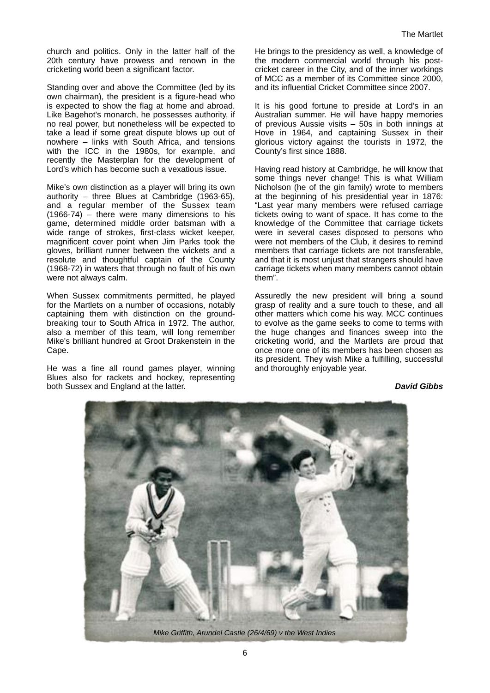church and politics. Only in the latter half of the 20th century have prowess and renown in the cricketing world been a significant factor.

Standing over and above the Committee (led by its own chairman), the president is a figure-head who is expected to show the flag at home and abroad. Like Bagehot's monarch, he possesses authority, if no real power, but nonetheless will be expected to take a lead if some great dispute blows up out of nowhere – links with South Africa, and tensions with the ICC in the 1980s, for example, and recently the Masterplan for the development of Lord's which has become such a vexatious issue.

Mike's own distinction as a player will bring its own authority – three Blues at Cambridge (1963-65), and a regular member of the Sussex team (1966-74) – there were many dimensions to his game, determined middle order batsman with a wide range of strokes, first-class wicket keeper, magnificent cover point when Jim Parks took the gloves, brilliant runner between the wickets and a resolute and thoughtful captain of the County (1968-72) in waters that through no fault of his own were not always calm.

When Sussex commitments permitted, he played for the Martlets on a number of occasions, notably captaining them with distinction on the groundbreaking tour to South Africa in 1972. The author, also a member of this team, will long remember Mike's brilliant hundred at Groot Drakenstein in the Cape.

He was a fine all round games player, winning Blues also for rackets and hockey, representing both Sussex and England at the latter.

He brings to the presidency as well, a knowledge of the modern commercial world through his postcricket career in the City, and of the inner workings of MCC as a member of its Committee since 2000, and its influential Cricket Committee since 2007.

It is his good fortune to preside at Lord's in an Australian summer. He will have happy memories of previous Aussie visits – 50s in both innings at Hove in 1964, and captaining Sussex in their glorious victory against the tourists in 1972, the County's first since 1888.

Having read history at Cambridge, he will know that some things never change! This is what William Nicholson (he of the gin family) wrote to members at the beginning of his presidential year in 1876: "Last year many members were refused carriage tickets owing to want of space. It has come to the knowledge of the Committee that carriage tickets were in several cases disposed to persons who were not members of the Club, it desires to remind members that carriage tickets are not transferable, and that it is most unjust that strangers should have carriage tickets when many members cannot obtain them".

Assuredly the new president will bring a sound grasp of reality and a sure touch to these, and all other matters which come his way. MCC continues to evolve as the game seeks to come to terms with the huge changes and finances sweep into the cricketing world, and the Martlets are proud that once more one of its members has been chosen as its president. They wish Mike a fulfilling, successful and thoroughly enjoyable year.

**David Gibbs**

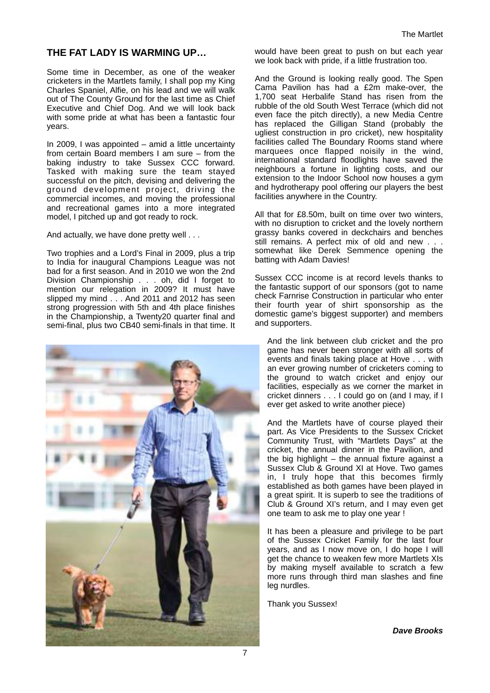## **THE FAT LADY IS WARMING UP…**

Some time in December, as one of the weaker cricketers in the Martlets family, I shall pop my King Charles Spaniel, Alfie, on his lead and we will walk out of The County Ground for the last time as Chief Executive and Chief Dog. And we will look back with some pride at what has been a fantastic four years.

In 2009, I was appointed – amid a little uncertainty from certain Board members I am sure – from the baking industry to take Sussex CCC forward. Tasked with making sure the team stayed successful on the pitch, devising and delivering the ground development project, driving the commercial incomes, and moving the professional and recreational games into a more integrated model, I pitched up and got ready to rock.

And actually, we have done pretty well . . .

Two trophies and a Lord's Final in 2009, plus a trip to India for inaugural Champions League was not bad for a first season. And in 2010 we won the 2nd Division Championship . . . oh, did I forget to mention our relegation in 2009? It must have slipped my mind . . . And 2011 and 2012 has seen strong progression with 5th and 4th place finishes in the Championship, a Twenty20 quarter final and semi-final, plus two CB40 semi-finals in that time. It



would have been great to push on but each year we look back with pride, if a little frustration too.

And the Ground is looking really good. The Spen Cama Pavilion has had a £2m make-over, the 1,700 seat Herbalife Stand has risen from the rubble of the old South West Terrace (which did not even face the pitch directly), a new Media Centre has replaced the Gilligan Stand (probably the ugliest construction in pro cricket), new hospitality facilities called The Boundary Rooms stand where marquees once flapped noisily in the wind, international standard floodlights have saved the neighbours a fortune in lighting costs, and our extension to the Indoor School now houses a gym and hydrotherapy pool offering our players the best facilities anywhere in the Country.

All that for £8.50m, built on time over two winters, with no disruption to cricket and the lovely northern grassy banks covered in deckchairs and benches still remains. A perfect mix of old and new . . . somewhat like Derek Semmence opening the batting with Adam Davies!

Sussex CCC income is at record levels thanks to the fantastic support of our sponsors (got to name check Farnrise Construction in particular who enter their fourth year of shirt sponsorship as the domestic game's biggest supporter) and members and supporters.

And the link between club cricket and the pro game has never been stronger with all sorts of events and finals taking place at Hove . . . with an ever growing number of cricketers coming to the ground to watch cricket and enjoy our facilities, especially as we corner the market in cricket dinners . . . I could go on (and I may, if I ever get asked to write another piece)

And the Martlets have of course played their part. As Vice Presidents to the Sussex Cricket Community Trust, with "Martlets Days" at the cricket, the annual dinner in the Pavilion, and the big highlight  $-$  the annual fixture against a Sussex Club & Ground XI at Hove. Two games in, I truly hope that this becomes firmly established as both games have been played in a great spirit. It is superb to see the traditions of Club & Ground XI's return, and I may even get one team to ask me to play one year !

It has been a pleasure and privilege to be part of the Sussex Cricket Family for the last four years, and as I now move on, I do hope I will get the chance to weaken few more Martlets XIs by making myself available to scratch a few more runs through third man slashes and fine leg nurdles.

Thank you Sussex!

**Dave Brooks**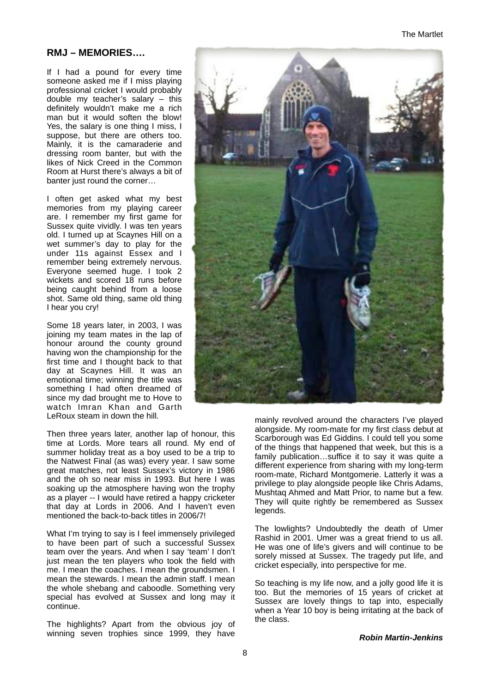## **RMJ – MEMORIES….**

If I had a pound for every time someone asked me if I miss playing professional cricket I would probably double my teacher's salary – this definitely wouldn't make me a rich man but it would soften the blow! Yes, the salary is one thing I miss, I suppose, but there are others too. Mainly, it is the camaraderie and dressing room banter, but with the likes of Nick Creed in the Common Room at Hurst there's always a bit of banter just round the corner...

I often get asked what my best memories from my playing career are. I remember my first game for Sussex quite vividly. I was ten years old. I turned up at Scaynes Hill on a wet summer's day to play for the under 11s against Essex and I remember being extremely nervous. Everyone seemed huge. I took 2 wickets and scored 18 runs before being caught behind from a loose shot. Same old thing, same old thing I hear you cry!

Some 18 years later, in 2003, I was joining my team mates in the lap of honour around the county ground having won the championship for the first time and I thought back to that day at Scaynes Hill. It was an emotional time; winning the title was something I had often dreamed of since my dad brought me to Hove to watch Imran Khan and Garth LeRoux steam in down the hill.

Then three years later, another lap of honour, this time at Lords. More tears all round. My end of summer holiday treat as a boy used to be a trip to the Natwest Final (as was) every year. I saw some great matches, not least Sussex's victory in 1986 and the oh so near miss in 1993. But here I was soaking up the atmosphere having won the trophy as a player -- I would have retired a happy cricketer that day at Lords in 2006. And I haven't even mentioned the back-to-back titles in 2006/7!

What I'm trying to say is I feel immensely privileged to have been part of such a successful Sussex team over the years. And when I say 'team' I don't just mean the ten players who took the field with me. I mean the coaches. I mean the groundsmen. I mean the stewards. I mean the admin staff. I mean the whole shebang and caboodle. Something very special has evolved at Sussex and long may it continue.

The highlights? Apart from the obvious joy of winning seven trophies since 1999, they have



mainly revolved around the characters I've played alongside. My room-mate for my first class debut at Scarborough was Ed Giddins. I could tell you some of the things that happened that week, but this is a family publication…suffice it to say it was quite a different experience from sharing with my long-term room-mate, Richard Montgomerie. Latterly it was a privilege to play alongside people like Chris Adams, Mushtaq Ahmed and Matt Prior, to name but a few. They will quite rightly be remembered as Sussex legends.

The lowlights? Undoubtedly the death of Umer Rashid in 2001. Umer was a great friend to us all. He was one of life's givers and will continue to be sorely missed at Sussex. The tragedy put life, and cricket especially, into perspective for me.

So teaching is my life now, and a jolly good life it is too. But the memories of 15 years of cricket at Sussex are lovely things to tap into, especially when a Year 10 boy is being irritating at the back of the class.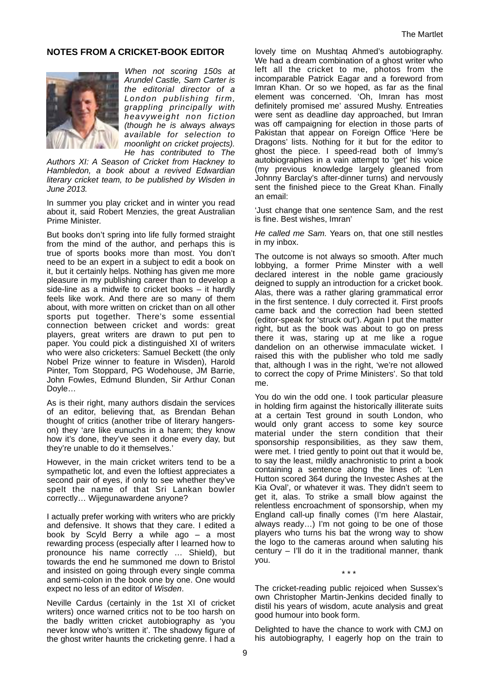#### **NOTES FROM A CRICKET-BOOK EDITOR**



When not scoring 150s at Arundel Castle, Sam Carter is the editorial director of a London publishing firm, grappling principally with heavyweight non fiction (though he is always always available for selection to moonlight on cricket projects). He has contributed to The

Authors XI: A Season of Cricket from Hackney to Hambledon, a book about a revived Edwardian literary cricket team, to be published by Wisden in June 2013.

In summer you play cricket and in winter you read about it, said Robert Menzies, the great Australian Prime Minister.

But books don't spring into life fully formed straight from the mind of the author, and perhaps this is true of sports books more than most. You don't need to be an expert in a subject to edit a book on it, but it certainly helps. Nothing has given me more pleasure in my publishing career than to develop a side-line as a midwife to cricket books – it hardly feels like work. And there are so many of them about, with more written on cricket than on all other sports put together. There's some essential connection between cricket and words: great players, great writers are drawn to put pen to paper. You could pick a distinguished XI of writers who were also cricketers: Samuel Beckett (the only Nobel Prize winner to feature in Wisden), Harold Pinter, Tom Stoppard, PG Wodehouse, JM Barrie, John Fowles, Edmund Blunden, Sir Arthur Conan Doyle…

As is their right, many authors disdain the services of an editor, believing that, as Brendan Behan thought of critics (another tribe of literary hangerson) they 'are like eunuchs in a harem; they know how it's done, they've seen it done every day, but they're unable to do it themselves.'

However, in the main cricket writers tend to be a sympathetic lot, and even the loftiest appreciates a second pair of eyes, if only to see whether they've spelt the name of that Sri Lankan bowler correctly… Wijegunawardene anyone?

I actually prefer working with writers who are prickly and defensive. It shows that they care. I edited a book by Scyld Berry a while ago – a most rewarding process (especially after I learned how to pronounce his name correctly … Shield), but towards the end he summoned me down to Bristol and insisted on going through every single comma and semi-colon in the book one by one. One would expect no less of an editor of Wisden.

Neville Cardus (certainly in the 1st XI of cricket writers) once warned critics not to be too harsh on the badly written cricket autobiography as 'you never know who's written it'. The shadowy figure of the ghost writer haunts the cricketing genre. I had a

lovely time on Mushtaq Ahmed's autobiography. We had a dream combination of a ghost writer who left all the cricket to me, photos from the incomparable Patrick Eagar and a foreword from Imran Khan. Or so we hoped, as far as the final element was concerned. 'Oh, Imran has most definitely promised me' assured Mushy. Entreaties were sent as deadline day approached, but Imran was off campaigning for election in those parts of Pakistan that appear on Foreign Office 'Here be Dragons' lists. Nothing for it but for the editor to ghost the piece. I speed-read both of Immy's autobiographies in a vain attempt to 'get' his voice (my previous knowledge largely gleaned from Johnny Barclay's after-dinner turns) and nervously sent the finished piece to the Great Khan. Finally an email:

'Just change that one sentence Sam, and the rest is fine. Best wishes, Imran'

He called me Sam. Years on, that one still nestles in my inbox.

The outcome is not always so smooth. After much lobbying, a former Prime Minster with a well declared interest in the noble game graciously deigned to supply an introduction for a cricket book. Alas, there was a rather glaring grammatical error in the first sentence. I duly corrected it. First proofs came back and the correction had been stetted (editor-speak for 'struck out'). Again I put the matter right, but as the book was about to go on press there it was, staring up at me like a rogue dandelion on an otherwise immaculate wicket. I raised this with the publisher who told me sadly that, although I was in the right, 'we're not allowed to correct the copy of Prime Ministers'. So that told me.

You do win the odd one. I took particular pleasure in holding firm against the historically illiterate suits at a certain Test ground in south London, who would only grant access to some key source material under the stern condition that their sponsorship responsibilities, as they saw them, were met. I tried gently to point out that it would be, to say the least, mildly anachronistic to print a book containing a sentence along the lines of: 'Len Hutton scored 364 during the Investec Ashes at the Kia Oval', or whatever it was. They didn't seem to get it, alas. To strike a small blow against the relentless encroachment of sponsorship, when my England call-up finally comes (I'm here Alastair, always ready…) I'm not going to be one of those players who turns his bat the wrong way to show the logo to the cameras around when saluting his century – I'll do it in the traditional manner, thank you.

The cricket-reading public rejoiced when Sussex's own Christopher Martin-Jenkins decided finally to distil his years of wisdom, acute analysis and great good humour into book form.

\* \* \*

Delighted to have the chance to work with CMJ on his autobiography, I eagerly hop on the train to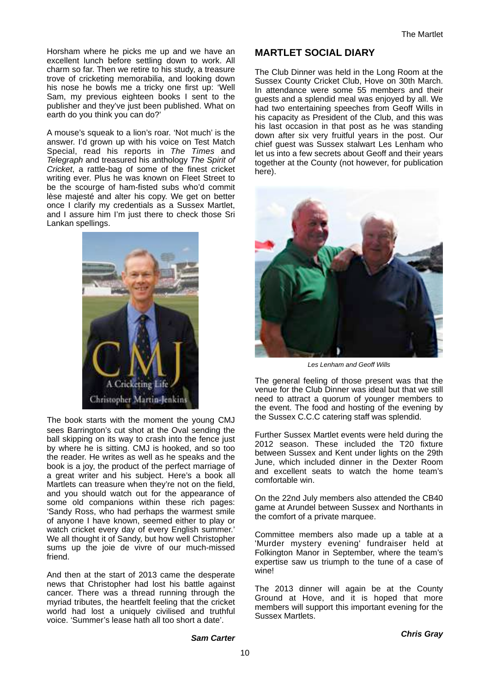Horsham where he picks me up and we have an excellent lunch before settling down to work. All charm so far. Then we retire to his study, a treasure trove of cricketing memorabilia, and looking down his nose he bowls me a tricky one first up: 'Well Sam, my previous eighteen books I sent to the publisher and they've just been published. What on earth do you think you can do?'

A mouse's squeak to a lion's roar. 'Not much' is the answer. I'd grown up with his voice on Test Match Special, read his reports in The Times and Telegraph and treasured his anthology The Spirit of Cricket, a rattle-bag of some of the finest cricket writing ever. Plus he was known on Fleet Street to be the scourge of ham-fisted subs who'd commit lèse majesté and alter his copy. We get on better once I clarify my credentials as a Sussex Martlet, and I assure him I'm just there to check those Sri Lankan spellings.



The book starts with the moment the young CMJ sees Barrington's cut shot at the Oval sending the ball skipping on its way to crash into the fence just by where he is sitting. CMJ is hooked, and so too the reader. He writes as well as he speaks and the book is a joy, the product of the perfect marriage of a great writer and his subject. Here's a book all Martlets can treasure when they're not on the field, and you should watch out for the appearance of some old companions within these rich pages: 'Sandy Ross, who had perhaps the warmest smile of anyone I have known, seemed either to play or watch cricket every day of every English summer.' We all thought it of Sandy, but how well Christopher sums up the joie de vivre of our much-missed friend.

And then at the start of 2013 came the desperate news that Christopher had lost his battle against cancer. There was a thread running through the myriad tributes, the heartfelt feeling that the cricket world had lost a uniquely civilised and truthful voice. 'Summer's lease hath all too short a date'.

## **MARTLET SOCIAL DIARY**

The Club Dinner was held in the Long Room at the Sussex County Cricket Club, Hove on 30th March. In attendance were some 55 members and their guests and a splendid meal was enjoyed by all. We had two entertaining speeches from Geoff Wills in his capacity as President of the Club, and this was his last occasion in that post as he was standing down after six very fruitful years in the post. Our chief guest was Sussex stalwart Les Lenham who let us into a few secrets about Geoff and their years together at the County (not however, for publication here).



Les Lenham and Geoff Wills

The general feeling of those present was that the venue for the Club Dinner was ideal but that we still need to attract a quorum of younger members to the event. The food and hosting of the evening by the Sussex C.C.C catering staff was splendid.

Further Sussex Martlet events were held during the 2012 season. These included the T20 fixture between Sussex and Kent under lights on the 29th June, which included dinner in the Dexter Room and excellent seats to watch the home team's comfortable win.

On the 22nd July members also attended the CB40 game at Arundel between Sussex and Northants in the comfort of a private marquee.

Committee members also made up a table at a 'Murder mystery evening' fundraiser held at Folkington Manor in September, where the team's expertise saw us triumph to the tune of a case of wine!

The 2013 dinner will again be at the County Ground at Hove, and it is hoped that more members will support this important evening for the Sussex Martlets.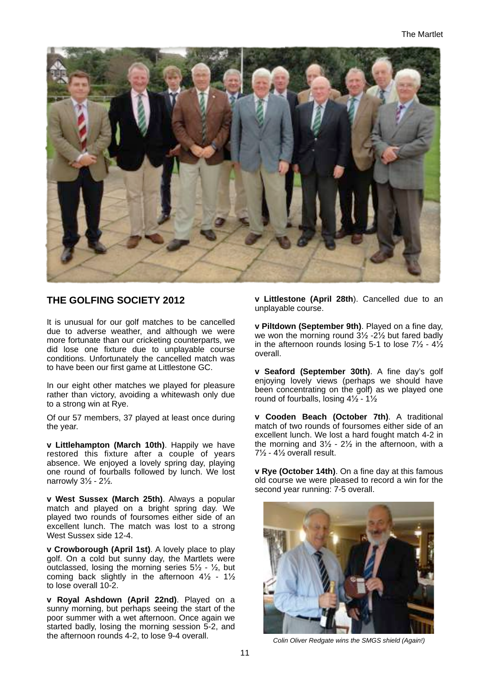

## **THE GOLFING SOCIETY 2012**

It is unusual for our golf matches to be cancelled due to adverse weather, and although we were more fortunate than our cricketing counterparts, we did lose one fixture due to unplayable course conditions. Unfortunately the cancelled match was to have been our first game at Littlestone GC.

In our eight other matches we played for pleasure rather than victory, avoiding a whitewash only due to a strong win at Rye.

Of our 57 members, 37 played at least once during the year.

**v Littlehampton (March 10th)**. Happily we have restored this fixture after a couple of years absence. We enjoyed a lovely spring day, playing one round of fourballs followed by lunch. We lost narrowly 3½ - 2½.

**v West Sussex (March 25th)**. Always a popular match and played on a bright spring day. We played two rounds of foursomes either side of an excellent lunch. The match was lost to a strong West Sussex side 12-4.

**v Crowborough (April 1st)**. A lovely place to play golf. On a cold but sunny day, the Martlets were outclassed, losing the morning series  $5\frac{1}{2}$  -  $\frac{1}{2}$ , but coming back slightly in the afternoon 4½ - 1½ to lose overall 10-2.

**v Royal Ashdown (April 22nd)**. Played on a sunny morning, but perhaps seeing the start of the poor summer with a wet afternoon. Once again we started badly, losing the morning session 5-2, and the afternoon rounds 4-2, to lose 9-4 overall.

**v Littlestone (April 28th**). Cancelled due to an unplayable course.

**v Piltdown (September 9th)**. Played on a fine day, we won the morning round 3½ -2½ but fared badly in the afternoon rounds losing 5-1 to lose  $7\frac{1}{2}$  -  $4\frac{1}{2}$ overall.

**v Seaford (September 30th)**. A fine day's golf enjoying lovely views (perhaps we should have been concentrating on the golf) as we played one round of fourballs, losing 4½ - 1½

**v Cooden Beach (October 7th)**. A traditional match of two rounds of foursomes either side of an excellent lunch. We lost a hard fought match 4-2 in the morning and  $3\frac{1}{2}$  -  $2\frac{1}{2}$  in the afternoon, with a 7½ - 4½ overall result.

**v Rye (October 14th)**. On a fine day at this famous old course we were pleased to record a win for the second year running: 7-5 overall.



Colin Oliver Redgate wins the SMGS shield (Again!)